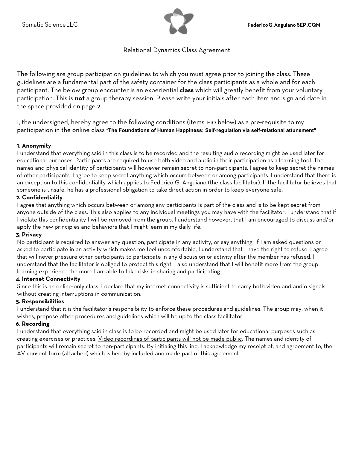

# Relational Dynamics Class Agreement

The following are group participation guidelines to which you must agree prior to joining the class. These guidelines are a fundamental part of the safety container for the class participants as a whole and for each participant. The below group encounter is an experiential **class** which will greatly benefit from your voluntary participation. This is **not** a group therapy session. Please write your initials after each item and sign and date in the space provided on page 2.

I, the undersigned, hereby agree to the following conditions (items 1-10 below) as a pre-requisite to my participation in the online class "**The Foundations of Human Happiness: Self-regulation via self-relational attunement"** 

## **1. Anonymity**

I understand that everything said in this class is to be recorded and the resulting audio recording might be used later for educational purposes. Participants are required to use both video and audio in their participation as a learning tool. The names and physical identity of participants will however remain secret to non-participants. I agree to keep secret the names of other participants. I agree to keep secret anything which occurs between or among participants. I understand that there is an exception to this confidentiality which applies to Federico G. Anguiano (the class facilitator). If the facilitator believes that someone is unsafe, he has a professional obligation to take direct action in order to keep everyone safe.

### **2. Confidentiality**

I agree that anything which occurs between or among any participants is part of the class and is to be kept secret from anyone outside of the class. This also applies to any individual meetings you may have with the facilitator. I understand that if I violate this confidentiality I will be removed from the group. I understand however, that I am encouraged to discuss and/or apply the new principles and behaviors that I might learn in my daily life.

### **3. Privacy**

No participant is required to answer any question, participate in any activity, or say anything. If I am asked questions or asked to participate in an activity which makes me feel uncomfortable, I understand that I have the right to refuse. I agree that will never pressure other participants to participate in any discussion or activity after the member has refused. I understand that the facilitator is obliged to protect this right. I also understand that I will benefit more from the group learning experience the more I am able to take risks in sharing and participating.

### **4. Internet Connectivity**

Since this is an online-only class, I declare that my internet connectivity is sufficient to carry both video and audio signals without creating interruptions in communication.

### **5. Responsibilities**

I understand that it is the facilitator's responsibility to enforce these procedures and guidelines. The group may, when it wishes, propose other procedures and guidelines which will be up to the class facilitator.

### **6. Recording**

I understand that everything said in class is to be recorded and might be used later for educational purposes such as creating exercises or practices. Video recordings of participants will not be made public. The names and identity of participants will remain secret to non-participants. By initialing this line, I acknowledge my receipt of, and agreement to, the AV consent form (attached) which is hereby included and made part of this agreement.